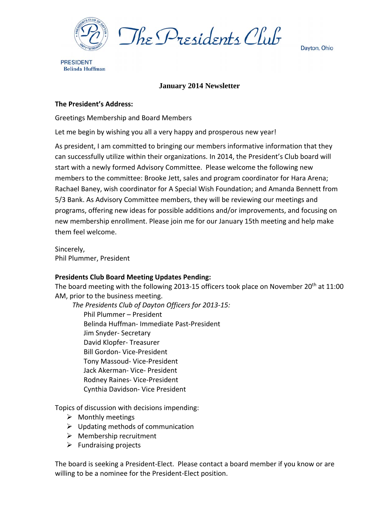

The Presidents Club

Dayton, Ohio

**PRESIDENT Belinda Huffman** 

## **January 2014 Newsletter**

## **The President's Address:**

Greetings Membership and Board Members

Let me begin by wishing you all a very happy and prosperous new year!

As president, I am committed to bringing our members informative information that they can successfully utilize within their organizations. In 2014, the President's Club board will start with a newly formed Advisory Committee. Please welcome the following new members to the committee: Brooke Jett, sales and program coordinator for Hara Arena; Rachael Baney, wish coordinator for A Special Wish Foundation; and Amanda Bennett from 5/3 Bank. As Advisory Committee members, they will be reviewing our meetings and programs, offering new ideas for possible additions and/or improvements, and focusing on new membership enrollment. Please join me for our January 15th meeting and help make them feel welcome.

Sincerely, Phil Plummer, President

## **Presidents Club Board Meeting Updates Pending:**

The board meeting with the following 2013-15 officers took place on November 20<sup>th</sup> at 11:00 AM, prior to the business meeting.

*The Presidents Club of Dayton Officers for 2013‐15:*

Phil Plummer – President Belinda Huffman‐ Immediate Past‐President Jim Snyder‐ Secretary David Klopfer‐ Treasurer Bill Gordon‐ Vice‐President Tony Massoud‐ Vice‐President Jack Akerman‐ Vice‐ President Rodney Raines‐ Vice‐President Cynthia Davidson‐ Vice President

Topics of discussion with decisions impending:

- $\triangleright$  Monthly meetings
- $\triangleright$  Updating methods of communication
- $\triangleright$  Membership recruitment
- $\triangleright$  Fundraising projects

The board is seeking a President‐Elect. Please contact a board member if you know or are willing to be a nominee for the President‐Elect position.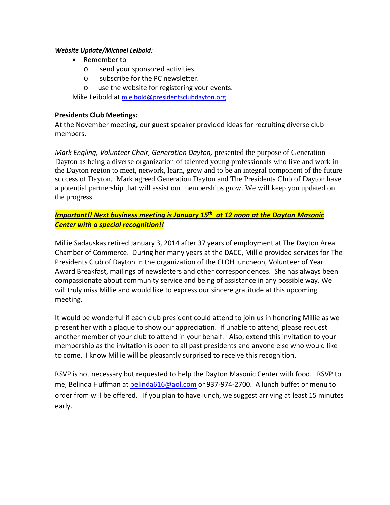### *Website Update/Michael Leibold:*

- Remember to
	- o send your sponsored activities.
	- o subscribe for the PC newsletter.
	- o use the website for registering your events.

Mike Leibold at mleibold@presidentsclubdayton.org

## **Presidents Club Meetings:**

At the November meeting, our guest speaker provided ideas for recruiting diverse club members.

*Mark Engling, Volunteer Chair, Generation Dayton,* presented the purpose of Generation Dayton as being a diverse organization of talented young professionals who live and work in the Dayton region to meet, network, learn, grow and to be an integral component of the future success of Dayton. Mark agreed Generation Dayton and The Presidents Club of Dayton have a potential partnership that will assist our memberships grow. We will keep you updated on the progress.

# *Important!! Next business meeting is January 15th at 12 noon at the Dayton Masonic Center with a special recognition!!*

Millie Sadauskas retired January 3, 2014 after 37 years of employment at The Dayton Area Chamber of Commerce. During her many years at the DACC, Millie provided services for The Presidents Club of Dayton in the organization of the CLOH luncheon, Volunteer of Year Award Breakfast, mailings of newsletters and other correspondences. She has always been compassionate about community service and being of assistance in any possible way. We will truly miss Millie and would like to express our sincere gratitude at this upcoming meeting.

It would be wonderful if each club president could attend to join us in honoring Millie as we present her with a plaque to show our appreciation. If unable to attend, please request another member of your club to attend in your behalf. Also, extend this invitation to your membership as the invitation is open to all past presidents and anyone else who would like to come. I know Millie will be pleasantly surprised to receive this recognition.

RSVP is not necessary but requested to help the Dayton Masonic Center with food. RSVP to me, Belinda Huffman at **belinda616@aol.com** or 937-974-2700. A lunch buffet or menu to order from will be offered. If you plan to have lunch, we suggest arriving at least 15 minutes early.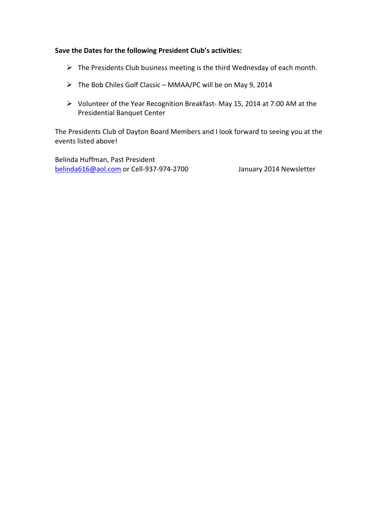## **Save the Dates for the following President Club's activities:**

- $\triangleright$  The Presidents Club business meeting is the third Wednesday of each month.
- $\triangleright$  The Bob Chiles Golf Classic MMAA/PC will be on May 9, 2014
- Volunteer of the Year Recognition Breakfast‐ May 15, 2014 at 7:00 AM at the Presidential Banquet Center

The Presidents Club of Dayton Board Members and I look forward to seeing you at the events listed above!

Belinda Huffman, Past President belinda616@aol.com or Cell‐937‐974‐2700 January 2014 Newsletter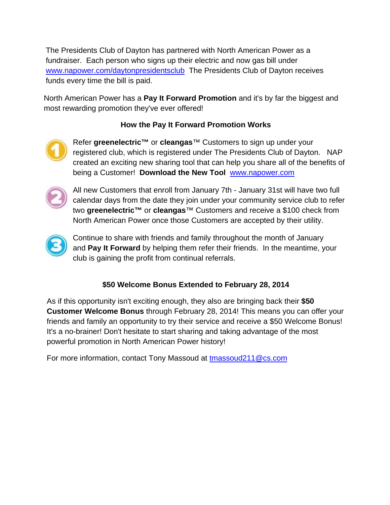The Presidents Club of Dayton has partnered with North American Power as a fundraiser. Each person who signs up their electric and now gas bill under www.napower.com/daytonpresidentsclub The Presidents Club of Dayton receives funds every time the bill is paid.

North American Power has a **Pay It Forward Promotion** and it's by far the biggest and most rewarding promotion they've ever offered!

# **How the Pay It Forward Promotion Works**



Refer **greenelectric™** or **cleangas**™ Customers to sign up under your registered club, which is registered under The Presidents Club of Dayton. NAP created an exciting new sharing tool that can help you share all of the benefits of being a Customer! **Download the New Tool** www.napower.com



All new Customers that enroll from January 7th - January 31st will have two full calendar days from the date they join under your community service club to refer two **greenelectric™** or **cleangas**™ Customers and receive a \$100 check from North American Power once those Customers are accepted by their utility.



Continue to share with friends and family throughout the month of January and **Pay It Forward** by helping them refer their friends. In the meantime, your club is gaining the profit from continual referrals.

# **\$50 Welcome Bonus Extended to February 28, 2014**

As if this opportunity isn't exciting enough, they also are bringing back their **\$50 Customer Welcome Bonus** through February 28, 2014! This means you can offer your friends and family an opportunity to try their service and receive a \$50 Welcome Bonus! It's a no-brainer! Don't hesitate to start sharing and taking advantage of the most powerful promotion in North American Power history!

For more information, contact Tony Massoud at tmassoud211@cs.com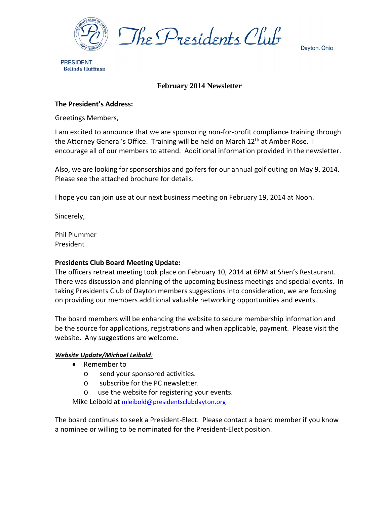

Dayton, Ohio

**PRESIDENT Belinda Huffman** 

# **February 2014 Newsletter**

## **The President's Address:**

Greetings Members,

I am excited to announce that we are sponsoring non‐for‐profit compliance training through the Attorney General's Office. Training will be held on March 12<sup>th</sup> at Amber Rose. I encourage all of our members to attend. Additional information provided in the newsletter.

Also, we are looking for sponsorships and golfers for our annual golf outing on May 9, 2014. Please see the attached brochure for details.

I hope you can join use at our next business meeting on February 19, 2014 at Noon.

Sincerely,

Phil Plummer President

## **Presidents Club Board Meeting Update:**

The officers retreat meeting took place on February 10, 2014 at 6PM at Shen's Restaurant. There was discussion and planning of the upcoming business meetings and special events. In taking Presidents Club of Dayton members suggestions into consideration, we are focusing on providing our members additional valuable networking opportunities and events.

The board members will be enhancing the website to secure membership information and be the source for applications, registrations and when applicable, payment. Please visit the website. Any suggestions are welcome.

## *Website Update/Michael Leibold:*

- Remember to
	- o send your sponsored activities.
	- o subscribe for the PC newsletter.
	- o use the website for registering your events.

Mike Leibold at mleibold@presidentsclubdayton.org

The board continues to seek a President‐Elect. Please contact a board member if you know a nominee or willing to be nominated for the President‐Elect position.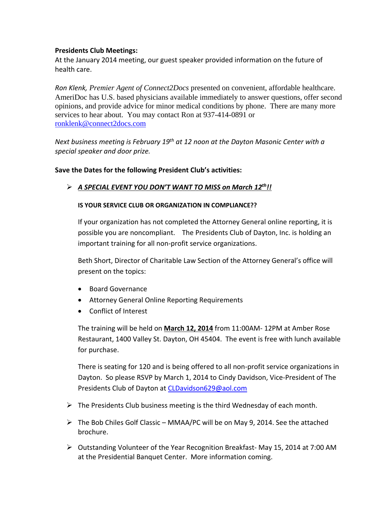## **Presidents Club Meetings:**

At the January 2014 meeting, our guest speaker provided information on the future of health care.

*Ron Klenk, Premier Agent of Connect2Docs* presented on convenient, affordable healthcare. AmeriDoc has U.S. based physicians available immediately to answer questions, offer second opinions, and provide advice for minor medical conditions by phone. There are many more services to hear about. You may contact Ron at 937-414-0891 or ronklenk@connect2docs.com

*Next business meeting is February 19th at 12 noon at the Dayton Masonic Center with a special speaker and door prize.* 

## **Save the Dates for the following President Club's activities:**

## *A SPECIAL EVENT YOU DON'T WANT TO MISS on March 12th!!*

## **IS YOUR SERVICE CLUB OR ORGANIZATION IN COMPLIANCE??**

If your organization has not completed the Attorney General online reporting, it is possible you are noncompliant. The Presidents Club of Dayton, Inc. is holding an important training for all non‐profit service organizations.

Beth Short, Director of Charitable Law Section of the Attorney General's office will present on the topics:

- Board Governance
- Attorney General Online Reporting Requirements
- Conflict of Interest

The training will be held on **March 12, 2014** from 11:00AM‐ 12PM at Amber Rose Restaurant, 1400 Valley St. Dayton, OH 45404. The event is free with lunch available for purchase.

There is seating for 120 and is being offered to all non‐profit service organizations in Dayton. So please RSVP by March 1, 2014 to Cindy Davidson, Vice‐President of The Presidents Club of Dayton at CLDavidson629@aol.com

- $\triangleright$  The Presidents Club business meeting is the third Wednesday of each month.
- $\triangleright$  The Bob Chiles Golf Classic MMAA/PC will be on May 9, 2014. See the attached brochure.
- Outstanding Volunteer of the Year Recognition Breakfast‐ May 15, 2014 at 7:00 AM at the Presidential Banquet Center. More information coming.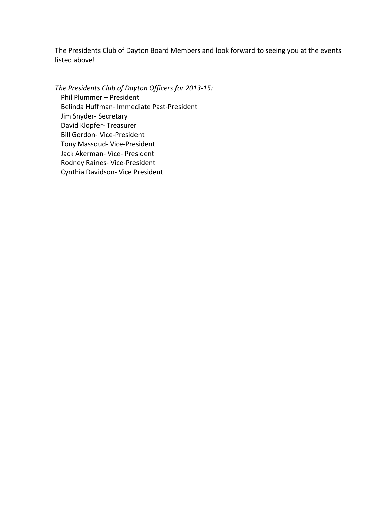The Presidents Club of Dayton Board Members and look forward to seeing you at the events listed above!

*The Presidents Club of Dayton Officers for 2013‐15:* Phil Plummer – President Belinda Huffman‐ Immediate Past‐President Jim Snyder‐ Secretary David Klopfer‐ Treasurer Bill Gordon‐ Vice‐President Tony Massoud‐ Vice‐President Jack Akerman‐ Vice‐ President Rodney Raines‐ Vice‐President Cynthia Davidson‐ Vice President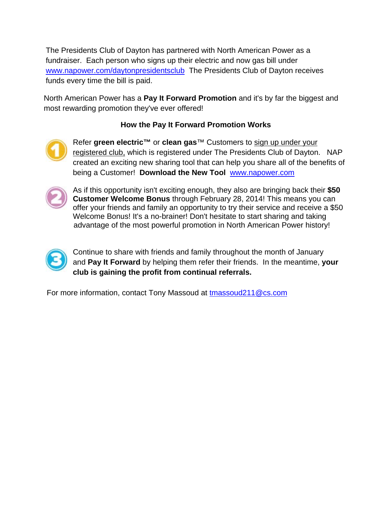The Presidents Club of Dayton has partnered with North American Power as a fundraiser. Each person who signs up their electric and now gas bill under www.napower.com/daytonpresidentsclub The Presidents Club of Dayton receives funds every time the bill is paid.

North American Power has a **Pay It Forward Promotion** and it's by far the biggest and most rewarding promotion they've ever offered!

# **How the Pay It Forward Promotion Works**



Refer **green electric™** or **clean gas**™ Customers to sign up under your registered club, which is registered under The Presidents Club of Dayton. NAP created an exciting new sharing tool that can help you share all of the benefits of being a Customer! **Download the New Tool** www.napower.com



As if this opportunity isn't exciting enough, they also are bringing back their **\$50 Customer Welcome Bonus** through February 28, 2014! This means you can offer your friends and family an opportunity to try their service and receive a \$50 Welcome Bonus! It's a no-brainer! Don't hesitate to start sharing and taking advantage of the most powerful promotion in North American Power history!



Continue to share with friends and family throughout the month of January and **Pay It Forward** by helping them refer their friends. In the meantime, **your club is gaining the profit from continual referrals.** 

For more information, contact Tony Massoud at tmassoud 211@cs.com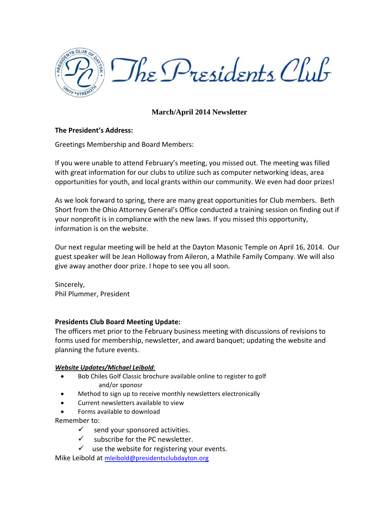

# **March/April 2014 Newsletter**

## **The President's Address:**

Greetings Membership and Board Members:

If you were unable to attend February's meeting, you missed out. The meeting was filled with great information for our clubs to utilize such as computer networking ideas, area opportunities for youth, and local grants within our community. We even had door prizes!

As we look forward to spring, there are many great opportunities for Club members. Beth Short from the Ohio Attorney General's Office conducted a training session on finding out if your nonprofit is in compliance with the new laws. If you missed this opportunity, information is on the website.

Our next regular meeting will be held at the Dayton Masonic Temple on April 16, 2014. Our guest speaker will be Jean Holloway from Aileron, a Mathile Family Company. We will also give away another door prize. I hope to see you all soon.

Sincerely, Phil Plummer, President

## **Presidents Club Board Meeting Update:**

The officers met prior to the February business meeting with discussions of revisions to forms used for membership, newsletter, and award banquet; updating the website and planning the future events.

## *Website Updates/Michael Leibold:*

- Bob Chiles Golf Classic brochure available online to register to golf and/or sponosr
- Method to sign up to receive monthly newsletters electronically
- Current newsletters available to view
- Forms available to download

Remember to:

- $\checkmark$  send your sponsored activities.
- $\checkmark$  subscribe for the PC newsletter.
- $\checkmark$  use the website for registering your events.

Mike Leibold at mleibold@presidentsclubdayton.org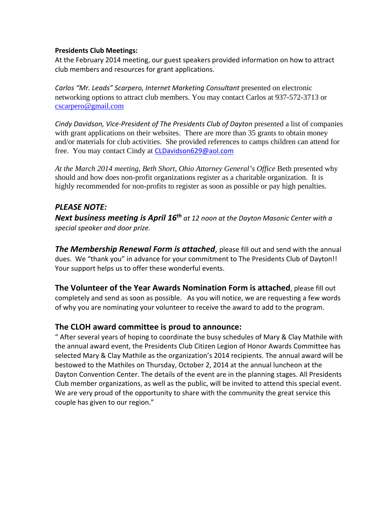## **Presidents Club Meetings:**

At the February 2014 meeting, our guest speakers provided information on how to attract club members and resources for grant applications.

*Carlos "Mr. Leads" Scarpero, Internet Marketing Consultant* presented on electronic networking options to attract club members. You may contact Carlos at 937-572-3713 or cscarpero@gmail.com

*Cindy Davidson, Vice‐President of The Presidents Club of Dayton* presented a list of companies with grant applications on their websites. There are more than 35 grants to obtain money and/or materials for club activities. She provided references to camps children can attend for free. You may contact Cindy at CLDavidson629@aol.com

*At the March 2014 meeting, Beth Short, Ohio Attorney General's Office* Beth presented why should and how does non-profit organizations register as a charitable organization. It is highly recommended for non-profits to register as soon as possible or pay high penalties.

# *PLEASE NOTE:*

*Next business meeting is April 16th at 12 noon at the Dayton Masonic Center with a special speaker and door prize.* 

*The Membership Renewal Form is attached*, please fill out and send with the annual dues. We "thank you" in advance for your commitment to The Presidents Club of Dayton!! Your support helps us to offer these wonderful events.

**The Volunteer of the Year Awards Nomination Form is attached**, please fill out completely and send as soon as possible. As you will notice, we are requesting a few words of why you are nominating your volunteer to receive the award to add to the program.

# **The CLOH award committee is proud to announce:**

" After several years of hoping to coordinate the busy schedules of Mary & Clay Mathile with the annual award event, the Presidents Club Citizen Legion of Honor Awards Committee has selected Mary & Clay Mathile as the organization's 2014 recipients. The annual award will be bestowed to the Mathiles on Thursday, October 2, 2014 at the annual luncheon at the Dayton Convention Center. The details of the event are in the planning stages. All Presidents Club member organizations, as well as the public, will be invited to attend this special event. We are very proud of the opportunity to share with the community the great service this couple has given to our region."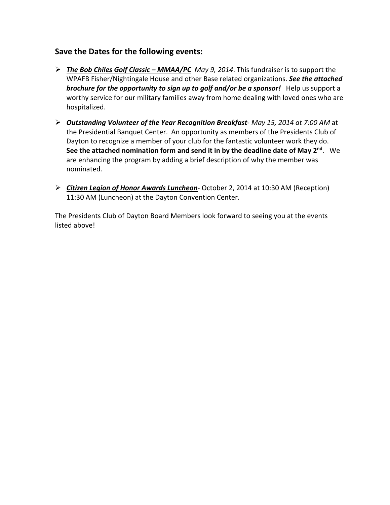# **Save the Dates for the following events:**

- *The Bob Chiles Golf Classic – MMAA/PC May 9, 2014*. This fundraiser is to support the WPAFB Fisher/Nightingale House and other Base related organizations. *See the attached brochure for the opportunity to sign up to golf and/or be a sponsor!* Help us support a worthy service for our military families away from home dealing with loved ones who are hospitalized.
- *Outstanding Volunteer of the Year Recognition Breakfast*‐ *May 15, 2014 at 7:00 AM* at the Presidential Banquet Center. An opportunity as members of the Presidents Club of Dayton to recognize a member of your club for the fantastic volunteer work they do. **See the attached nomination form and send it in by the deadline date of May 2nd**. We are enhancing the program by adding a brief description of why the member was nominated.
- *Citizen Legion of Honor Awards Luncheon*‐ October 2, 2014 at 10:30 AM (Reception) 11:30 AM (Luncheon) at the Dayton Convention Center.

The Presidents Club of Dayton Board Members look forward to seeing you at the events listed above!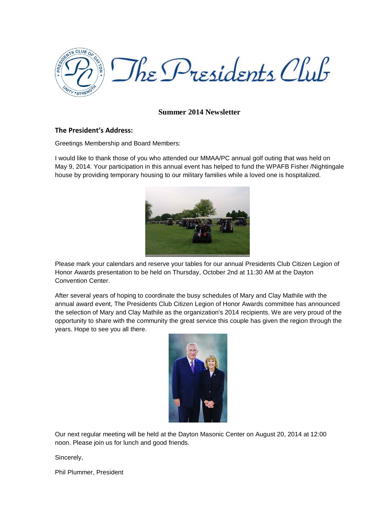

## **Summer 2014 Newsletter**

#### **The President's Address:**

Greetings Membership and Board Members:

I would like to thank those of you who attended our MMAA/PC annual golf outing that was held on May 9, 2014. Your participation in this annual event has helped to fund the WPAFB Fisher /Nightingale house by providing temporary housing to our military families while a loved one is hospitalized.



Please mark your calendars and reserve your tables for our annual Presidents Club Citizen Legion of Honor Awards presentation to be held on Thursday, October 2nd at 11:30 AM at the Dayton Convention Center.

After several years of hoping to coordinate the busy schedules of Mary and Clay Mathile with the annual award event, The Presidents Club Citizen Legion of Honor Awards committee has announced the selection of Mary and Clay Mathile as the organization's 2014 recipients. We are very proud of the opportunity to share with the community the great service this couple has given the region through the years. Hope to see you all there.



Our next regular meeting will be held at the Dayton Masonic Center on August 20, 2014 at 12:00 noon. Please join us for lunch and good friends.

Sincerely,

Phil Plummer, President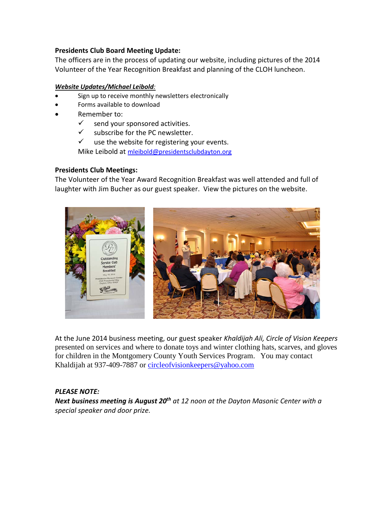## **Presidents Club Board Meeting Update:**

The officers are in the process of updating our website, including pictures of the 2014 Volunteer of the Year Recognition Breakfast and planning of the CLOH luncheon.

## *Website Updates/Michael Leibold:*

- Sign up to receive monthly newsletters electronically
- Forms available to download
- Remember to:
	- $\checkmark$  send your sponsored activities.
	- $\checkmark$  subscribe for the PC newsletter.
	- $\checkmark$  use the website for registering your events.

Mike Leibold at [mleibold@presidentsclubdayton.org](mailto:mleibold@presidentsclubdayton.org)

## **Presidents Club Meetings:**

The Volunteer of the Year Award Recognition Breakfast was well attended and full of laughter with Jim Bucher as our guest speaker. View the pictures on the website.



At the June 2014 business meeting, our guest speaker *Khaldijah Ali, Circle of Vision Keepers*  presented on services and where to donate toys and winter clothing hats, scarves, and gloves for children in the Montgomery County Youth Services Program. You may contact Khaldijah at 937-409-7887 or [circleofvisionkeepers@yahoo.com](mailto:circleofvisionkeepers@yahoo.com)

## *PLEASE NOTE:*

*Next business meeting is August 20th at 12 noon at the Dayton Masonic Center with a special speaker and door prize.*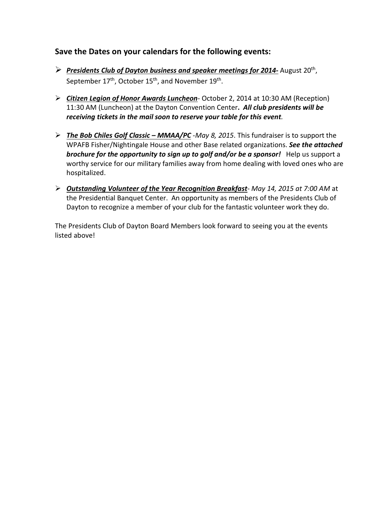# **Save the Dates on your calendars for the following events:**

- *Presidents Club of Dayton business and speaker meetings for 2014-* August 20th, September 17<sup>th</sup>, October 15<sup>th</sup>, and November 19<sup>th</sup>.
- *Citizen Legion of Honor Awards Luncheon* October 2, 2014 at 10:30 AM (Reception) 11:30 AM (Luncheon) at the Dayton Convention Center**.** *All club presidents will be receiving tickets in the mail soon to reserve your table for this event.*
- *The Bob Chiles Golf Classic – MMAA/PC* -*May 8, 2015*. This fundraiser is to support the WPAFB Fisher/Nightingale House and other Base related organizations. *See the attached brochure for the opportunity to sign up to golf and/or be a sponsor!* Help us support a worthy service for our military families away from home dealing with loved ones who are hospitalized.
- *Outstanding Volunteer of the Year Recognition Breakfast May 14, 2015 at 7:00 AM* at the Presidential Banquet Center. An opportunity as members of the Presidents Club of Dayton to recognize a member of your club for the fantastic volunteer work they do.

The Presidents Club of Dayton Board Members look forward to seeing you at the events listed above!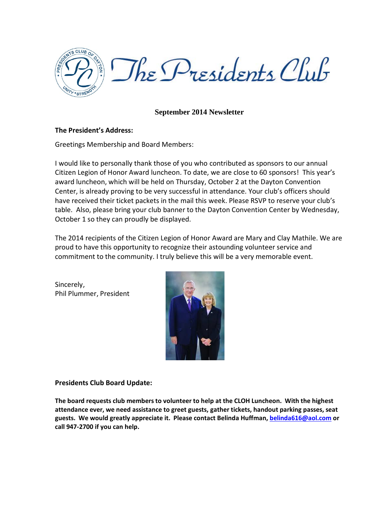

## **September 2014 Newsletter**

## **The President's Address:**

Greetings Membership and Board Members:

I would like to personally thank those of you who contributed as sponsors to our annual Citizen Legion of Honor Award luncheon. To date, we are close to 60 sponsors! This year's award luncheon, which will be held on Thursday, October 2 at the Dayton Convention Center, is already proving to be very successful in attendance. Your club's officers should have received their ticket packets in the mail this week. Please RSVP to reserve your club's table. Also, please bring your club banner to the Dayton Convention Center by Wednesday, October 1 so they can proudly be displayed.

The 2014 recipients of the Citizen Legion of Honor Award are Mary and Clay Mathile. We are proud to have this opportunity to recognize their astounding volunteer service and commitment to the community. I truly believe this will be a very memorable event.

Sincerely, Phil Plummer, President



**Presidents Club Board Update:**

**The board requests club members to volunteer to help at the CLOH Luncheon. With the highest attendance ever, we need assistance to greet guests, gather tickets, handout parking passes, seat guests. We would greatly appreciate it. Please contact Belinda Huffman[, belinda616@aol.com](mailto:belinda616@aol.com) or call 947-2700 if you can help.**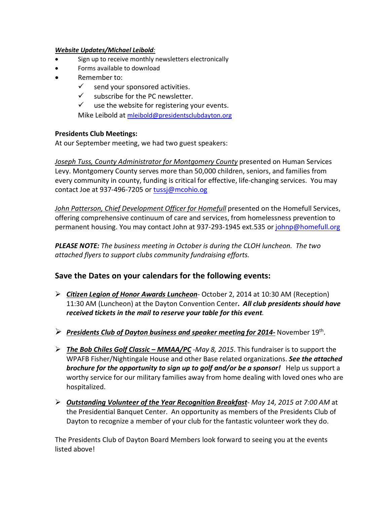### *Website Updates/Michael Leibold:*

- Sign up to receive monthly newsletters electronically
- Forms available to download
- Remember to:
	- $\checkmark$  send your sponsored activities.
	- $\checkmark$  subscribe for the PC newsletter.
	- $\checkmark$  use the website for registering your events.

Mike Leibold at [mleibold@presidentsclubdayton.org](mailto:mleibold@presidentsclubdayton.org)

## **Presidents Club Meetings:**

At our September meeting, we had two guest speakers:

*Joseph Tuss, County Administrator for Montgomery County* presented on Human Services Levy. Montgomery County serves more than 50,000 children, seniors, and families from every community in county, funding is critical for effective, life-changing services. You may contact Joe at 937-496-7205 or [tussj@mcohio.og](mailto:tussj@mcohio.og)

John Patterson, Chief Development Officer for Homefull presented on the Homefull Services, offering comprehensive continuum of care and services, from homelessness prevention to permanent housing. You may contact John at 937-293-1945 ext.535 or [johnp@homefull.org](mailto:johnp@homefull.org)

*PLEASE NOTE: The business meeting in October is during the CLOH luncheon. The two attached flyers to support clubs community fundraising efforts.* 

# **Save the Dates on your calendars for the following events:**

- *Citizen Legion of Honor Awards Luncheon* October 2, 2014 at 10:30 AM (Reception) 11:30 AM (Luncheon) at the Dayton Convention Center**.** *All club presidents should have received tickets in the mail to reserve your table for this event.*
- *Presidents Club of Dayton business and speaker meeting for 2014-* November 19th.
- *The Bob Chiles Golf Classic – MMAA/PC* -*May 8, 2015*. This fundraiser is to support the WPAFB Fisher/Nightingale House and other Base related organizations. *See the attached brochure for the opportunity to sign up to golf and/or be a sponsor!* Help us support a worthy service for our military families away from home dealing with loved ones who are hospitalized.
- *Outstanding Volunteer of the Year Recognition Breakfast May 14, 2015 at 7:00 AM* at the Presidential Banquet Center. An opportunity as members of the Presidents Club of Dayton to recognize a member of your club for the fantastic volunteer work they do.

The Presidents Club of Dayton Board Members look forward to seeing you at the events listed above!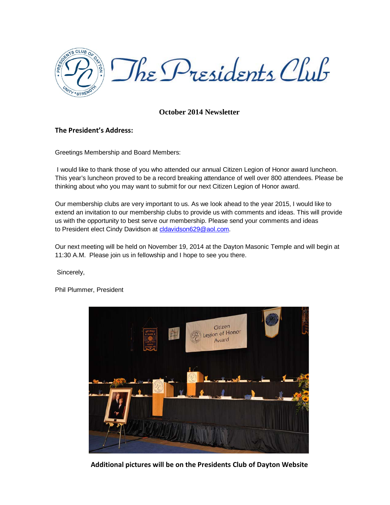

## **October 2014 Newsletter**

## **The President's Address:**

Greetings Membership and Board Members:

I would like to thank those of you who attended our annual Citizen Legion of Honor award luncheon. This year's luncheon proved to be a record breaking attendance of well over 800 attendees. Please be thinking about who you may want to submit for our next Citizen Legion of Honor award.

Our membership clubs are very important to us. As we look ahead to the year 2015, I would like to extend an invitation to our membership clubs to provide us with comments and ideas. This will provide us with the opportunity to best serve our membership. Please send your comments and ideas to President elect Cindy Davidson at [cldavidson629@aol.com.](mailto:cldavidson629@aol.com)

Our next meeting will be held on November 19, 2014 at the Dayton Masonic Temple and will begin at 11:30 A.M. Please join us in fellowship and I hope to see you there.

Sincerely,

Phil Plummer, President



**Additional pictures will be on the Presidents Club of Dayton Website**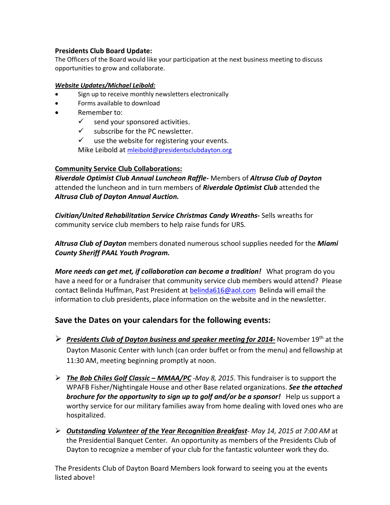## **Presidents Club Board Update:**

The Officers of the Board would like your participation at the next business meeting to discuss opportunities to grow and collaborate.

## *Website Updates/Michael Leibold:*

- Sign up to receive monthly newsletters electronically
- Forms available to download
- Remember to:
	- $\checkmark$  send your sponsored activities.
	- $\checkmark$  subscribe for the PC newsletter.
	- $\checkmark$  use the website for registering your events.

Mike Leibold at [mleibold@presidentsclubdayton.org](mailto:mleibold@presidentsclubdayton.org)

## **Community Service Club Collaborations:**

*Riverdale Optimist Club Annual Luncheon Raffle-* Members of *Altrusa Club of Dayton* attended the luncheon and in turn members of *Riverdale Optimist Club* attended the *Altrusa Club of Dayton Annual Auction.* 

*Civitian/United Rehabilitation Service Christmas Candy Wreaths***-** Sells wreaths for community service club members to help raise funds for URS.

*Altrusa Club of Dayton* members donated numerous school supplies needed for the *Miami County Sheriff PAAL Youth Program.* 

*More needs can get met, if collaboration can become a tradition!* What program do you have a need for or a fundraiser that community service club members would attend? Please contact Belinda Huffman, Past President at [belinda616@aol.com](mailto:belinda616@aol.com) Belinda will email the information to club presidents, place information on the website and in the newsletter.

# **Save the Dates on your calendars for the following events:**

- *Presidents Club of Dayton business and speaker meeting for 2014-* November 19th at the Dayton Masonic Center with lunch (can order buffet or from the menu) and fellowship at 11:30 AM, meeting beginning promptly at noon.
- *The Bob Chiles Golf Classic – MMAA/PC* -*May 8, 2015*. This fundraiser is to support the WPAFB Fisher/Nightingale House and other Base related organizations. *See the attached brochure for the opportunity to sign up to golf and/or be a sponsor!* Help us support a worthy service for our military families away from home dealing with loved ones who are hospitalized.
- *Outstanding Volunteer of the Year Recognition Breakfast May 14, 2015 at 7:00 AM* at the Presidential Banquet Center. An opportunity as members of the Presidents Club of Dayton to recognize a member of your club for the fantastic volunteer work they do.

The Presidents Club of Dayton Board Members look forward to seeing you at the events listed above!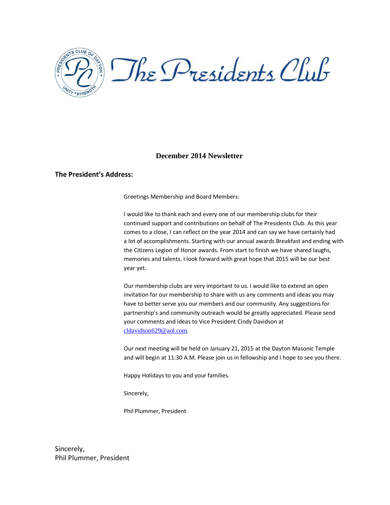

### **December 2014 Newsletter**

#### **The President's Address:**

Greetings Membership and Board Members:

I would like to thank each and every one of our membership clubs for their continued support and contributions on behalf of The Presidents Club. As this year comes to a close, I can reflect on the year 2014 and can say we have certainly had a lot of accomplishments. Starting with our annual awards Breakfast and ending with the Citizens Legion of Honor awards. From start to finish we have shared laughs, memories and talents. I look forward with great hope that 2015 will be our best year yet.

Our membership clubs are very important to us. I would like to extend an open invitation for our membership to share with us any comments and ideas you may have to better serve you our members and our community. Any suggestions for partnership's and community outreach would be greatly appreciated. Please send your comments and ideas to Vice President Cindy Davidson at [cldavidson629@aol.com](mailto:cldavidson629@aol.com).

Our next meeting will be held on January 21, 2015 at the Dayton Masonic Temple and will begin at 11:30 A.M. Please join us in fellowship and I hope to see you there.

Happy Holidays to you and your families.

Sincerely,

Phil Plummer, President

Sincerely, Phil Plummer, President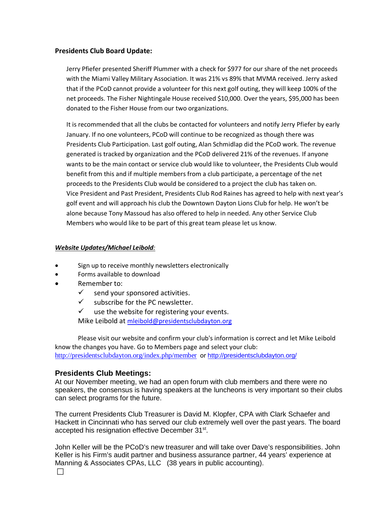### **Presidents Club Board Update:**

Jerry Pfiefer presented Sheriff Plummer with a check for \$977 for our share of the net proceeds with the Miami Valley Military Association. It was 21% vs 89% that MVMA received. Jerry asked that if the PCoD cannot provide a volunteer for this next golf outing, they will keep 100% of the net proceeds. The Fisher Nightingale House received \$10,000. Over the years, \$95,000 has been donated to the Fisher House from our two organizations.

It is recommended that all the clubs be contacted for volunteers and notify Jerry Pfiefer by early January. If no one volunteers, PCoD will continue to be recognized as though there was Presidents Club Participation. Last golf outing, Alan Schmidlap did the PCoD work. The revenue generated is tracked by organization and the PCoD delivered 21% of the revenues. If anyone wants to be the main contact or service club would like to volunteer, the Presidents Club would benefit from this and if multiple members from a club participate, a percentage of the net proceeds to the Presidents Club would be considered to a project the club has taken on. Vice President and Past President, Presidents Club Rod Raines has agreed to help with next year's golf event and will approach his club the Downtown Dayton Lions Club for help. He won't be alone because Tony Massoud has also offered to help in needed. Any other Service Club Members who would like to be part of this great team please let us know.

#### *Website Updates/Michael Leibold:*

- Sign up to receive monthly newsletters electronically
- Forms available to download
- Remember to:
	- $\checkmark$  send your sponsored activities.
	- $\checkmark$  subscribe for the PC newsletter.
	- $\checkmark$  use the website for registering your events. Mike Leibold at [mleibold@presidentsclubdayton.org](mailto:mleibold@presidentsclubdayton.org)

Please visit our website and confirm your club's information is correct and let Mike Leibold know the changes you have. Go to Members page and select your club: <http://presidentsclubdayton.org/index.php/member> or <http://presidentsclubdayton.org/>

## **Presidents Club Meetings:**

At our November meeting, we had an open forum with club members and there were no speakers, the consensus is having speakers at the luncheons is very important so their clubs can select programs for the future.

The current Presidents Club Treasurer is David M. Klopfer, CPA with Clark Schaefer and Hackett in Cincinnati who has served our club extremely well over the past years. The board accepted his resignation effective December 31st.

John Keller will be the PCoD's new treasurer and will take over Dave's responsibilities. John Keller is his Firm's audit partner and business assurance partner, 44 years' experience at Manning & Associates CPAs, LLC (38 years in public accounting).